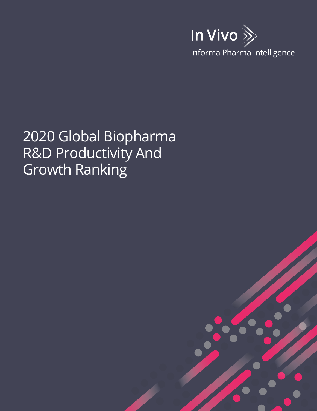

# 2020 Global Biopharma R&D Productivity And Growth Ranking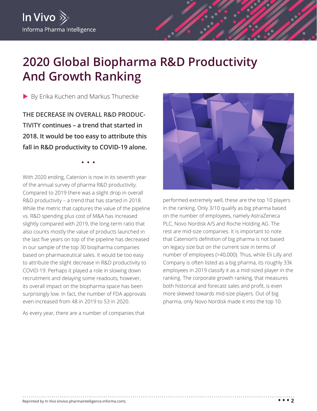# **2020 Global Biopharma R&D Productivity And Growth Ranking**

By Erika Kuchen and Markus Thunecke

**THE DECREASE IN OVERALL R&D PRODUC-TIVITY continues – a trend that started in 2018. It would be too easy to attribute this fall in R&D productivity to COVID-19 alone.**

With 2020 ending, Catenion is now in its seventh year of the annual survey of pharma R&D productivity. Compared to 2019 there was a slight drop in overall R&D productivity – a trend that has started in 2018. While the metric that captures the value of the pipeline vs. R&D spending plus cost of M&A has increased slightly compared with 2019, the long-term ratio that also counts mostly the value of products launched in the last five years on top of the pipeline has decreased in our sample of the top 30 biopharma companies based on pharmaceutical sales. It would be too easy to attribute the slight decrease in R&D productivity to COVID-19. Perhaps it played a role in slowing down recruitment and delaying some readouts, however, its overall impact on the biopharma space has been surprisingly low. In fact, the number of FDA approvals even increased from 48 in 2019 to 53 in 2020.

As every year, there are a number of companies that



performed extremely well, these are the top 10 players in the ranking. Only 3/10 qualify as big pharma based on the number of employees, namely AstraZeneca PLC, Novo Nordisk A/S and Roche Holding AG. The rest are mid-size companies. It is important to note that Catenion's definition of big pharma is not based on legacy size but on the current size in terms of number of employees (>40,000). Thus, while Eli Lilly and Company is often listed as a big pharma, its roughly 33k employees in 2019 classify it as a mid-sized player in the ranking. The corporate growth ranking, that measures both historical and forecast sales and profit, is even more skewed towards mid-size players. Out of big pharma, only Novo Nordisk made it into the top 10.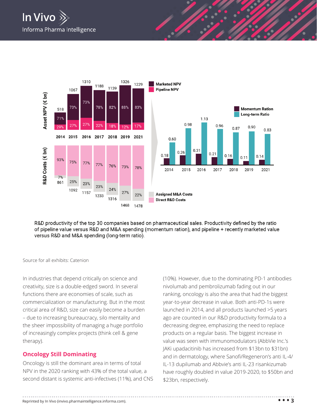

R&D productivity of the top 30 companies based on pharmaceutical sales. Productivity defined by the ratio of pipeline value versus R&D and M&A spending (momentum ration), and pipeline + recently marketed value versus R&D and M&A spending (long-term ratio).

Source for all exhibits: Catenion

In industries that depend critically on science and creativity, size is a double-edged sword. In several functions there are economies of scale, such as commercialization or manufacturing. But in the most critical area of R&D, size can easily become a burden – due to increasing bureaucracy, silo mentality and the sheer impossibility of managing a huge portfolio of increasingly complex projects (think cell & gene therapy).

# **Oncology Still Dominating**

Oncology is still the dominant area in terms of total NPV in the 2020 ranking with 43% of the total value, a second distant is systemic anti-infectives (11%), and CNS (10%). However, due to the dominating PD-1 antibodies nivolumab and pembrolizumab fading out in our ranking, oncology is also the area that had the biggest year-to-year decrease in value. Both anti-PD-1s were launched in 2014, and all products launched >5 years ago are counted in our R&D productivity formula to a decreasing degree, emphasizing the need to replace products on a regular basis. The biggest increase in value was seen with immunomodulators (AbbVie Inc.'s JAKi upadacitinib has increased from \$13bn to \$31bn) and in dermatology, where Sanofi/Regeneron's anti IL-4/ IL-13 dupilumab and Abbvie's anti IL-23 risankizumab have roughly doubled in value 2019-2020, to \$50bn and \$23bn, respectively.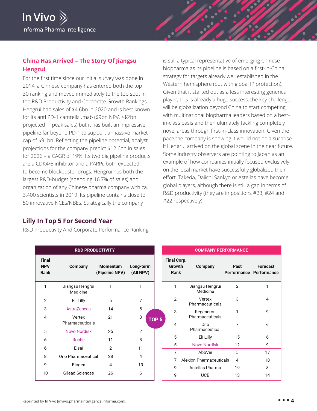

# **China Has Arrived – The Story Of Jiangsu Hengrui**

For the first time since our initial survey was done in 2014, a Chinese company has entered both the top 30 ranking and moved immediately to the top spot in the R&D Productivity and Corporate Growth Rankings. Hengrui had sales of \$4.6bn in 2020 and is best known for its anti PD-1 camrelizumab (\$9bn NPV, >\$2bn projected in peak sales) but it has built an impressive pipeline far beyond PD-1 to support a massive market cap of \$91bn. Reflecting the pipeline potential, analyst projections for the company predict \$12.6bn in sales for 2026 – a CAGR of 19%. Its two big pipeline products are a CDK4/6 inhibitor and a PARPi, both expected to become blockbuster drugs. Hengrui has both the largest R&D-budget (spending 16.7% of sales) and organization of any Chinese pharma company with ca. 3.400 scientists in 2019. Its pipeline contains close to 50 innovative NCEs/NBEs. Strategically the company

is still a typical representative of emerging Chinese biopharma as its pipeline is based on a first-in-China strategy for targets already well established in the Western hemisphere (but with global IP protection). Given that it started out as a less interesting generics player, this is already a huge success, the key challenge will be globalization beyond China to start competing with multinational biopharma leaders based on a bestin-class basis and then ultimately tackling completely novel areas through first-in-class innovation. Given the pace the company is showing it would not be a surprise if Hengrui arrived on the global scene in the near future. Some industry observers are pointing to Japan as an example of how companies initially focused exclusively on the local market have successfully globalized their effort. Takeda, Daiichi Sankyo or Astellas have become global players, although there is still a gap in terms of R&D productivity (they are in positions #23, #24 and #22 respectively).

# **Lilly In Top 5 For Second Year**

R&D Productivity And Corporate Performance Ranking

|                                    | <b>R&amp;D PRODUCTIVITY</b> |                            |                        |                  |                                    |
|------------------------------------|-----------------------------|----------------------------|------------------------|------------------|------------------------------------|
| <b>Final</b><br><b>NPV</b><br>Rank | <b>Company</b>              | Momentum<br>(Pipeline NPV) | Long-term<br>(All NPV) |                  | <b>Final Cor</b><br>Growth<br>Rank |
| 1                                  | Jiangsu Hengrui<br>Medicine | 1                          | 1                      |                  | 1                                  |
| $\overline{2}$                     | Eli Lilly                   | 5                          | 7                      |                  | 2                                  |
| 3                                  | AstraZeneca                 | 14                         | 5                      |                  | 3                                  |
| 4                                  | Vertex<br>Pharmaceuticals   | 21                         | 3                      | TOP <sub>5</sub> | 4                                  |
| 5                                  | <b>Novo Nordisk</b>         | 25                         | 2                      |                  |                                    |
| 6                                  | Roche                       | 11                         | 8                      |                  | 5                                  |
| 6                                  | Eisai                       | 2                          | 11                     |                  | 5                                  |
| 8                                  | Ono Pharmaceutical          | 28                         | 4                      |                  | 7                                  |
| 9                                  | Biogen                      | 4                          | 13                     |                  | 7                                  |
| 10                                 | <b>Gilead Sciences</b>      | 26                         | 6                      |                  | 9<br>9                             |

| IVIFAN I FLIN UNIVIANUL |                              |                              |                                            |  |  |  |
|-------------------------|------------------------------|------------------------------|--------------------------------------------|--|--|--|
| <b>Rank</b>             | Company                      | Past                         | <b>Forecast</b><br>Performance Performance |  |  |  |
| 1                       | Jiangsu Hengrui<br>Medicine  | 2                            | 1                                          |  |  |  |
| 2                       | Vertex<br>Pharmaceuticals    | 3                            | 4                                          |  |  |  |
| 3                       | Regeneron<br>Pharmaceuticals | 1                            | 9                                          |  |  |  |
| 4                       | Ono<br>Pharmaceutical        | 7                            | 6                                          |  |  |  |
| 5                       | Eli Lilly                    | 15                           | 6                                          |  |  |  |
| 5                       | <b>Novo Nordisk</b>          | 12                           | 9                                          |  |  |  |
| 7                       | AbbVie                       | 5                            | 17                                         |  |  |  |
| 7                       |                              | 4                            | 18                                         |  |  |  |
| 9                       | Astellas Pharma              | 19                           | 8                                          |  |  |  |
| 9                       | UCB                          | 13                           | 14                                         |  |  |  |
|                         |                              | <b>Final Corp.</b><br>Growth | Alexion Pharmaceuticals                    |  |  |  |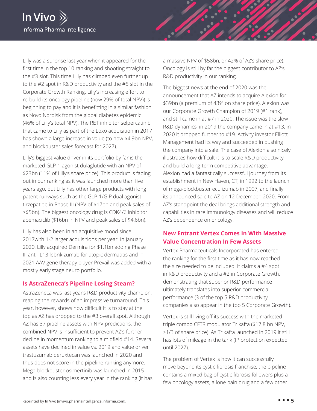

Lilly was a surprise last year when it appeared for the first time in the top 10 ranking and shooting straight to the #3 slot. This time Lilly has climbed even further up to the #2 spot in R&D productivity and the #5 slot in the Corporate Growth Ranking. Lilly's increasing effort to re-build its oncology pipeline (now 29% of total NPV)) is beginning to pay and it is benefitting in a similar fashion as Novo Nordisk from the global diabetes epidemic (46% of Lilly's total NPV). The RET inhibitor selpercatinib that came to Lilly as part of the Loxo acquisition in 2017 has shown a large increase in value (to now \$4.9bn NPV, and blockbuster sales forecast for 2027).

Lilly's biggest value driver in its portfolio by far is the marketed GLP-1 agonist dulaglutide with an NPV of \$23bn (11% of Lilly's share price). This product is fading out in our ranking as it was launched more than five years ago, but Lilly has other large products with long patent runways such as the GLP-1/GIP dual agonist tirzepatide in Phase III (NPV of \$17bn and peak sales of >\$5bn). The biggest oncology drug is CDK4/6 inhibitor abemaciclib (\$16bn in NPV and peak sales of \$4.6bn).

Lilly has also been in an acquisitive mood since 2017with 1-2 larger acquisitions per year. In January 2020, Lilly acquired Dermira for \$1.1bn adding Phase III anti-IL13 lebrikizumab for atopic dermatitis and in 2021 AAV gene therapy player Prevail was added with a mostly early stage neuro portfolio.

#### **Is AstraZeneca's Pipeline Losing Steam?**

AstraZeneca was last year's R&D productivity champion, reaping the rewards of an impressive turnaround. This year, however, shows how difficult it is to stay at the top as AZ has dropped to the #3 overall spot. Although AZ has 37 pipeline assets with NPV predictions, the combined NPV is insufficient to prevent AZ's further decline in momentum ranking to a midfield #14. Several assets have declined in value vs. 2019 and value driver trastuzumab deruxtecan was launched in 2020 and thus does not score in the pipeline ranking anymore. Mega-blockbuster osimertinib was launched in 2015 and is also counting less every year in the ranking (it has a massive NPV of \$58bn, or 42% of AZ's share price). Oncology is still by far the biggest contributor to AZ's R&D productivity in our ranking.

The biggest news at the end of 2020 was the announcement that AZ intends to acquire Alexion for \$39bn (a premium of 43% on share price). Alexion was our Corporate Growth Champion of 2019 (#1 rank), and still came in at #7 in 2020. The issue was the slow R&D dynamics, in 2019 the company came in at #13, in 2020 it dropped further to #19. Activity investor Elliott Management had its way and succeeded in pushing the company into a sale. The case of Alexion also nicely illustrates how difficult it is to scale R&D productivity and build a long-term competitive advantage. Alexion had a fantastically successful journey from its establishment in New Haven, CT, in 1992 to the launch of mega-blockbuster eculizumab in 2007, and finally its announced sale to AZ on 12 December, 2020. From AZ's standpoint the deal brings additional strength and capabilities in rare immunology diseases and will reduce AZ's dependence on oncology.

# **New Entrant Vertex Comes In With Massive Value Concentration In Few Assets**

Vertex Pharmaceuticals Incorporated has entered the ranking for the first time as it has now reached the size needed to be included. It claims a #4 spot in R&D productivity and a #2 in Corporate Growth, demonstrating that superior R&D performance ultimately translates into superior commercial performance (3 of the top 5 R&D productivity companies also appear in the top 5 Corporate Growth).

Vertex is still living off its success with the marketed triple combo CFTR modulator Trikafta (\$17.8 bn NPV, >1/3 of share price). As Trikafta launched in 2019 it still has lots of mileage in the tank (IP protection expected until 2027).

The problem of Vertex is how it can successfully move beyond its cystic fibrosis franchise, the pipeline contains a mixed bag of cystic fibrosis followers plus a few oncology assets, a lone pain drug and a few other

Reprinted by In Vivo (invivo.pharmaintelligence.informa.com). **• • • 5**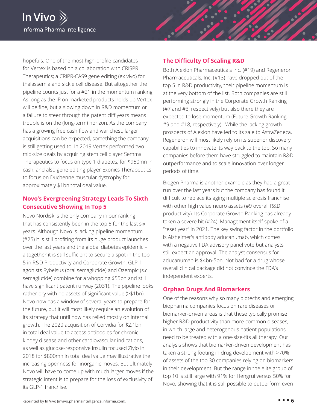

hopefuls. One of the most high-profile candidates for Vertex is based on a collaboration with CRISPR Therapeutics; a CRIPR-CAS9 gene editing (ex vivo) for thalassemia and sickle cell disease. But altogether the pipeline counts just for a #21 in the momentum ranking. As long as the IP on marketed products holds up Vertex will be fine, but a slowing down in R&D momentum or a failure to steer through the patent cliff years means trouble is on the (long-term) horizon. As the company has a growing free cash flow and war chest, larger acquisitions can be expected, something the company is still getting used to. In 2019 Vertex performed two mid-size deals by acquiring stem cell player Semma Therapeutics to focus on type 1 diabetes, for \$950mn in cash, and also gene editing player Exonics Therapeutics to focus on Duchenne muscular dystrophy for approximately \$1bn total deal value.

# **Novo's Evergreening Strategy Leads To Sixth Consecutive Showing In Top 5**

Novo Nordisk is the only company in our ranking that has consistently been in the top 5 for the last six years. Although Novo is lacking pipeline momentum (#25) it is still profiting from its huge product launches over the last years and the global diabetes epidemic – altogether it is still sufficient to secure a spot in the top 5 in R&D Productivity and Corporate Growth. GLP-1 agonists Rybelsus (oral semaglutide) and Ozempic (s.c. semaglutide) combine for a whopping \$55bn and still have significant patent runway (2031). The pipeline looks rather dry with no assets of significant value (>\$1bn). Novo now has a window of several years to prepare for the future, but it will most likely require an evolution of its strategy that until now has relied mostly on internal growth. The 2020 acquisition of Corvidia for \$2.1bn in total deal value to access antibodies for chronic kindey disease and other cardiovascular indications, as well as glucose-responsive insulin focused Ziylo in 2018 for \$800mn in total deal value may illustrative the increasing openness for inorganic moves. But ultimately Novo will have to come up with much larger moves if the strategic intent is to prepare for the loss of exclusivity of its GLP-1 franchise.

#### **The Difficulty Of Scaling R&D**

Both Alexion Pharmaceuticals Inc. (#19) and Regeneron Pharmaceuticals, Inc. (#13) have dropped out of the top 5 in R&D productivity, their pipeline momentum is at the very bottom of the list. Both companies are still performing strongly in the Corporate Growth Ranking (#7 and #3, respectively) but also there they are expected to lose momentum (Future Growth Ranking #9 and #18, respectively). While the lacking growth prospects of Alexion have led to its sale to AstraZeneca, Regeneron will most likely rely on its superior discovery capabilities to innovate its way back to the top. So many companies before them have struggled to maintain R&D outperformance and to scale innovation over longer periods of time.

Biogen Pharma is another example as they had a great run over the last years but the company has found it difficult to replace its aging multiple sclerosis franchise with other high value neuro assets (#9 overall R&D productivity). Its Corporate Growth Ranking has already taken a severe hit (#24). Management itself spoke of a "reset year" in 2021. The key swing factor in the portfolio is Alzheimer's antibody aducanumab, which comes with a negative FDA advisory panel vote but analysts still expect an approval. The analyst consensus for aducanumab is \$4bn-5bn. Not bad for a drug whose overall clinical package did not convince the FDA's independent experts.

# **Orphan Drugs And Biomarkers**

One of the reasons why so many biotechs and emerging biopharma companies focus on rare diseases or biomarker-driven areas is that these typically promise higher R&D productivity than more common diseases, in which large and heterogenous patient populations need to be treated with a one-size-fits all therapy. Our analysis shows that biomarker-driven development has taken a strong footing in drug development with >70% of assets of the top 30 companies relying on biomarkers in their development. But the range in the elite group of top 10 is still large with 91% for Hengrui versus 50% for Novo, showing that it is still possible to outperform even

Reprinted by In Vivo (invivo.pharmaintelligence.informa.com). **• • • 6**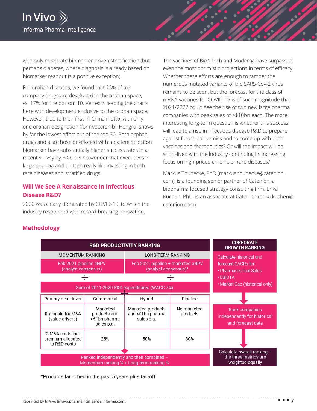

with only moderate biomarker-driven stratification (but perhaps diabetes, where diagnosis is already based on biomarker readout is a positive exception).

For orphan diseases, we found that 25% of top company drugs are developed in the orphan space, vs. 17% for the bottom 10. Vertex is leading the charts here with development exclusive to the orphan space. However, true to their first-in-China motto, with only one orphan designation (for rivoceranib), Hengrui shows by far the lowest effort out of the top 30. Both orphan drugs and also those developed with a patient selection biomarker have substantially higher success rates in a recent survey by BIO. It is no wonder that executives in large pharma and biotech really like investing in both rare diseases and stratified drugs.

### **Will We See A Renaissance In Infectious Disease R&D?**

2020 was clearly dominated by COVID-19, to which the industry responded with record-breaking innovation.

The vaccines of BioNTech and Moderna have surpassed even the most optimistic projections in terms of efficacy. Whether these efforts are enough to tamper the numerous mutated variants of the SARS-Cov-2 virus remains to be seen, but the forecast for the class of mRNA vaccines for COVID-19 is of such magnitude that 2021/2022 could see the rise of two new large pharma companies with peak sales of >\$10bn each. The more interesting long-term question is whether this success will lead to a rise in infectious disease R&D to prepare against future pandemics and to come up with both vaccines and therapeutics? Or will the impact will be short-lived with the industry continuing its increasing focus on high-priced chronic or rare diseases?

Markus Thunecke, PhD (markus.thunecke@catenion. com), is a founding senior partner of Catenion, a biopharma focused strategy consulting firm. Erika Kuchen, PhD, is an associate at Catenion (erika.kuchen@ catenion.com).

#### **Methodology**



\*Products launched in the past 5 years plus tail-off